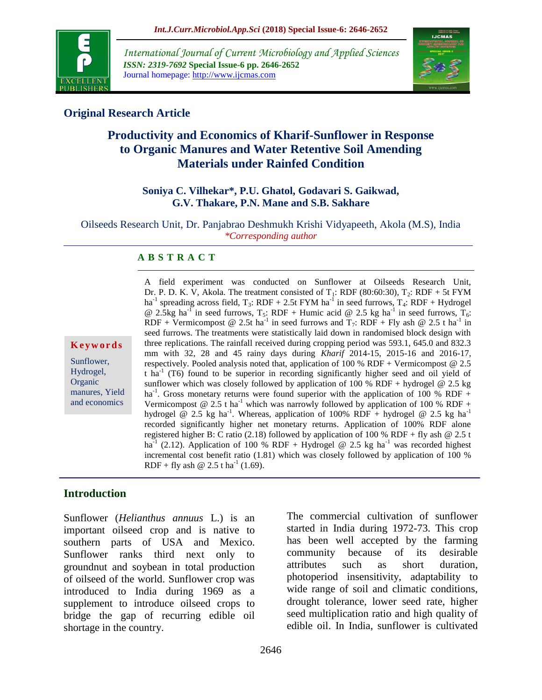

*International Journal of Current Microbiology and Applied Sciences ISSN: 2319-7692* **Special Issue-6 pp. 2646-2652** Journal homepage: http://www.ijcmas.com



## **Original Research Article**

# **Productivity and Economics of Kharif-Sunflower in Response to Organic Manures and Water Retentive Soil Amending Materials under Rainfed Condition**

## **Soniya C. Vilhekar\*, P.U. Ghatol, Godavari S. Gaikwad, G.V. Thakare, P.N. Mane and S.B. Sakhare**

Oilseeds Research Unit, Dr. Panjabrao Deshmukh Krishi Vidyapeeth, Akola (M.S), India *\*Corresponding author*

## **A B S T R A C T**

#### **K e y w o r d s**

Sunflower, Hydrogel, **Organic** manures, Yield and economics

A field experiment was conducted on Sunflower at Oilseeds Research Unit, Dr. P. D. K. V, Akola. The treatment consisted of  $T_1$ : RDF (80:60:30),  $T_2$ : RDF + 5t FYM ha<sup>-1</sup> spreading across field,  $T_3$ : RDF + 2.5t FYM ha<sup>-1</sup> in seed furrows,  $T_4$ : RDF + Hydrogel @ 2.5kg ha<sup>-1</sup> in seed furrows, T<sub>5</sub>: RDF + Humic acid @ 2.5 kg ha<sup>-1</sup> in seed furrows, T<sub>6</sub>: RDF + Vermicompost @ 2.5t ha<sup>-1</sup> in seed furrows and  $T_7$ : RDF + Fly ash @ 2.5 t ha<sup>-1</sup> in seed furrows. The treatments were statistically laid down in randomised block design with three replications. The rainfall received during cropping period was 593.1, 645.0 and 832.3 mm with 32, 28 and 45 rainy days during *Kharif* 2014-15, 2015-16 and 2016-17, respectively. Pooled analysis noted that, application of 100 % RDF + Vermicompost  $@$  2.5  $\tanh$   $\ln$ <sup>1</sup> (T6) found to be superior in recording significantly higher seed and oil yield of sunflower which was closely followed by application of 100 % RDF + hydrogel  $@ 2.5 kg$ ha<sup>-1</sup>. Gross monetary returns were found superior with the application of 100 % RDF + Vermicompost @ 2.5 t ha<sup>-1</sup> which was narrowly followed by application of 100 % RDF + hydrogel @ 2.5 kg ha<sup>-1</sup>. Whereas, application of 100% RDF + hydrogel @ 2.5 kg ha<sup>-1</sup> recorded significantly higher net monetary returns. Application of 100% RDF alone registered higher B: C ratio (2.18) followed by application of 100 % RDF + fly ash  $@ 2.5 t$ ha<sup>-1</sup> (2.12). Application of 100 % RDF + Hydrogel @ 2.5 kg ha<sup>-1</sup> was recorded highest incremental cost benefit ratio (1.81) which was closely followed by application of 100 % RDF + fly ash  $\omega$  2.5 t ha<sup>-1</sup> (1.69).

## **Introduction**

Sunflower (*Helianthus annuus* L.) is an important oilseed crop and is native to southern parts of USA and Mexico. Sunflower ranks third next only to groundnut and soybean in total production of oilseed of the world. Sunflower crop was introduced to India during 1969 as a supplement to introduce oilseed crops to bridge the gap of recurring edible oil shortage in the country.

The commercial cultivation of sunflower started in India during 1972-73. This crop has been well accepted by the farming community because of its desirable attributes such as short duration, photoperiod insensitivity, adaptability to wide range of soil and climatic conditions, drought tolerance, lower seed rate, higher seed multiplication ratio and high quality of edible oil. In India, sunflower is cultivated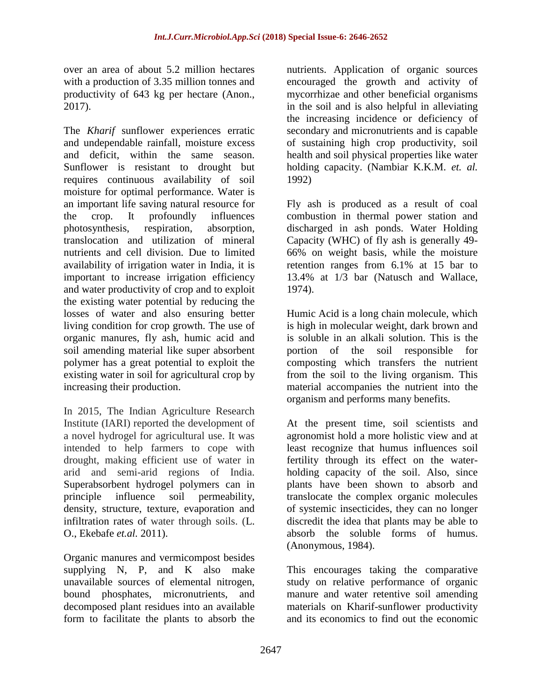over an area of about 5.2 million hectares with a production of 3.35 million tonnes and productivity of 643 kg per hectare (Anon., 2017).

The *Kharif* sunflower experiences erratic and undependable rainfall, moisture excess and deficit, within the same season. Sunflower is resistant to drought but requires continuous availability of soil moisture for optimal performance. Water is an important life saving natural resource for the crop. It profoundly influences photosynthesis, respiration, absorption, translocation and utilization of mineral nutrients and cell division. Due to limited availability of irrigation water in India, it is important to increase irrigation efficiency and water productivity of crop and to exploit the existing water potential by reducing the losses of water and also ensuring better living condition for crop growth. The use of organic manures, fly ash, humic acid and soil amending material like super absorbent polymer has a great potential to exploit the existing water in soil for agricultural crop by increasing their production.

In 2015, The Indian Agriculture Research Institute (IARI) reported the development of a novel hydrogel for agricultural use. It was intended to help farmers to cope with drought, making efficient use of water in arid and semi-arid regions of India. [Superabsorbent hydrogel polymers](https://en.wikipedia.org/wiki/Superabsorbent_polymer) can in principle influence soil permeability, density, structure, texture, evaporation and infiltration rates of water through soils. (L. O., Ekebafe *et.al.* 2011).

Organic manures and vermicompost besides supplying N, P, and K also make unavailable sources of elemental nitrogen, bound phosphates, micronutrients, and decomposed plant residues into an available form to facilitate the plants to absorb the

nutrients. Application of organic sources encouraged the growth and activity of mycorrhizae and other beneficial organisms in the soil and is also helpful in alleviating the increasing incidence or deficiency of secondary and micronutrients and is capable of sustaining high crop productivity, soil health and soil physical properties like water holding capacity. (Nambiar K.K.M. *et. al.* 1992)

Fly ash is produced as a result of coal combustion in thermal power station and discharged in ash ponds. Water Holding Capacity (WHC) of fly ash is generally 49- 66% on weight basis, while the moisture retention ranges from 6.1% at 15 bar to 13.4% at 1/3 bar [\(Natusch and Wallace,](http://scialert.net/fulltext/?doi=ajar.2010.1.14#402232_ja)  [1974\)](http://scialert.net/fulltext/?doi=ajar.2010.1.14#402232_ja).

Humic Acid is a long chain molecule, which is high in molecular weight, dark brown and is soluble in an alkali solution. This is the portion of the soil responsible for composting which transfers the nutrient from the soil to the living organism. This material accompanies the nutrient into the organism and performs many benefits.

At the present time, soil scientists and agronomist hold a more holistic view and at least recognize that humus influences soil fertility through its effect on the waterholding capacity of the soil. Also, since plants have been shown to absorb and translocate the complex organic molecules of systemic insecticides, they can no longer discredit the idea that plants may be able to absorb the soluble forms of humus. (Anonymous, 1984).

This encourages taking the comparative study on relative performance of organic manure and water retentive soil amending materials on Kharif-sunflower productivity and its economics to find out the economic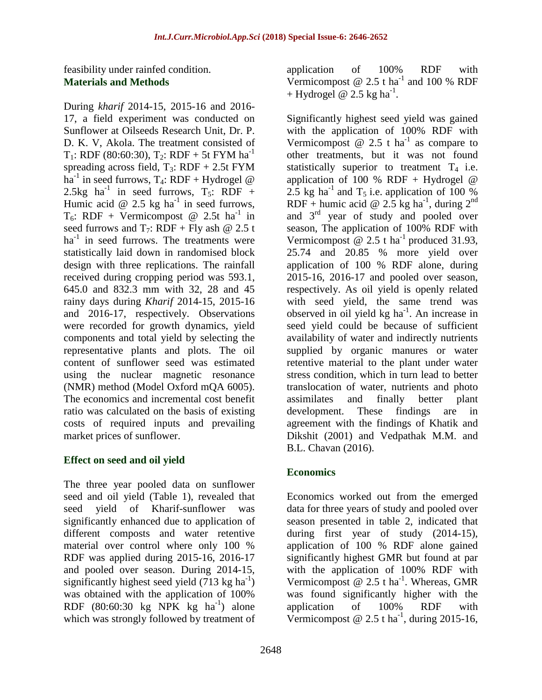feasibility under rainfed condition. **Materials and Methods**

During *kharif* 2014-15, 2015-16 and 2016- 17, a field experiment was conducted on Sunflower at Oilseeds Research Unit, Dr. P. D. K. V, Akola. The treatment consisted of T<sub>1</sub>: RDF (80:60:30), T<sub>2</sub>: RDF + 5t FYM ha<sup>-1</sup> spreading across field,  $T_3$ : RDF + 2.5t FYM ha<sup>-1</sup> in seed furrows, T<sub>4</sub>: RDF + Hydrogel @ 2.5kg ha<sup>-1</sup> in seed furrows,  $T_5$ : RDF + Humic acid @ 2.5 kg ha<sup>-1</sup> in seed furrows,  $T_6$ : RDF + Vermicompost @ 2.5t ha<sup>-1</sup> in seed furrows and  $T_7$ : RDF + Fly ash @ 2.5 t ha<sup>-1</sup> in seed furrows. The treatments were statistically laid down in randomised block design with three replications. The rainfall received during cropping period was 593.1, 645.0 and 832.3 mm with 32, 28 and 45 rainy days during *Kharif* 2014-15, 2015-16 and 2016-17, respectively. Observations were recorded for growth dynamics, yield components and total yield by selecting the representative plants and plots. The oil content of sunflower seed was estimated using the nuclear magnetic resonance (NMR) method (Model Oxford mQA 6005). The economics and incremental cost benefit ratio was calculated on the basis of existing costs of required inputs and prevailing market prices of sunflower.

## **Effect on seed and oil yield**

The three year pooled data on sunflower seed and oil yield (Table 1), revealed that seed yield of Kharif-sunflower was significantly enhanced due to application of different composts and water retentive material over control where only 100 % RDF was applied during 2015-16, 2016-17 and pooled over season. During 2014-15, significantly highest seed yield  $(713 \text{ kg ha}^{-1})$ was obtained with the application of 100% RDF  $(80:60:30 \text{ kg} \text{NPK} \text{ kg} \text{ha}^{-1})$  alone which was strongly followed by treatment of

application of 100% RDF with Vermicompost  $@ 2.5$  t ha<sup>-1</sup> and 100 % RDF + Hydrogel  $\omega$  2.5 kg ha<sup>-1</sup>.

Significantly highest seed yield was gained with the application of 100% RDF with Vermicompost  $\omega$  2.5 t ha<sup>-1</sup> as compare to other treatments, but it was not found statistically superior to treatment  $T_4$  i.e. application of 100 % RDF + Hydrogel  $@$ 2.5 kg ha<sup>-1</sup> and T<sub>5</sub> i.e. application of 100 % RDF + humic acid @ 2.5 kg ha<sup>-1</sup>, during 2<sup>nd</sup> and 3 rd year of study and pooled over season, The application of 100% RDF with Vermicompost @ 2.5 t ha<sup>-1</sup> produced 31.93, 25.74 and 20.85 % more yield over application of 100 % RDF alone, during 2015-16, 2016-17 and pooled over season, respectively. As oil yield is openly related with seed yield, the same trend was observed in oil yield  $kg$  ha<sup>-1</sup>. An increase in seed yield could be because of sufficient availability of water and indirectly nutrients supplied by organic manures or water retentive material to the plant under water stress condition, which in turn lead to better translocation of water, nutrients and photo assimilates and finally better plant development. These findings are in agreement with the findings of Khatik and Dikshit (2001) and Vedpathak M.M. and B.L. Chavan (2016).

## **Economics**

Economics worked out from the emerged data for three years of study and pooled over season presented in table 2, indicated that during first year of study (2014-15), application of 100 % RDF alone gained significantly highest GMR but found at par with the application of 100% RDF with Vermicompost  $@ 2.5 t \text{ ha}^{-1}$ . Whereas, GMR was found significantly higher with the application of 100% RDF with Vermicompost @ 2.5 t ha<sup>-1</sup>, during 2015-16,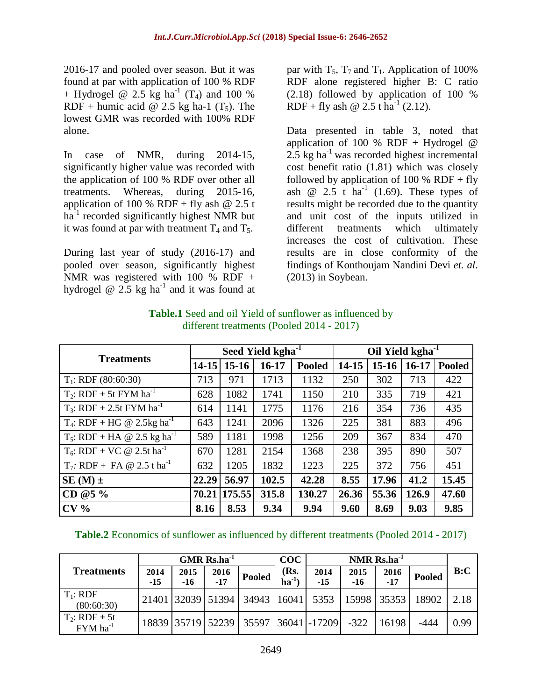2016-17 and pooled over season. But it was found at par with application of 100 % RDF + Hydrogel @ 2.5 kg ha<sup>-1</sup> (T<sub>4</sub>) and 100 % RDF + humic acid  $\omega$  2.5 kg ha-1 (T<sub>5</sub>). The lowest GMR was recorded with 100% RDF alone.

In case of NMR, during 2014-15, significantly higher value was recorded with the application of 100 % RDF over other all treatments. Whereas, during 2015-16, application of 100 % RDF + fly ash  $@ 2.5 t$ ha<sup>-1</sup> recorded significantly highest NMR but it was found at par with treatment  $T_4$  and  $T_5$ .

During last year of study (2016-17) and pooled over season, significantly highest NMR was registered with 100 % RDF + hydrogel  $\omega$  2.5 kg ha<sup>-1</sup> and it was found at

par with  $T_5$ ,  $T_7$  and  $T_1$ . Application of 100% RDF alone registered higher B: C ratio (2.18) followed by application of 100 % RDF + fly ash  $\omega$  2.5 t ha<sup>-1</sup> (2.12).

Data presented in table 3, noted that application of 100 % RDF + Hydrogel  $@$  $2.5$  kg ha<sup>-1</sup> was recorded highest incremental cost benefit ratio (1.81) which was closely followed by application of 100 %  $RDF + fly$ ash  $\omega$  2.5 t ha<sup>-1</sup> (1.69). These types of results might be recorded due to the quantity and unit cost of the inputs utilized in different treatments which ultimately increases the cost of cultivation. These results are in close conformity of the findings of Konthoujam Nandini Devi *et. al*. (2013) in Soybean.

| <b>Treatments</b>                                  | Seed Yield kgha <sup>-1</sup> |         |         |               | Oil Yield kgha <sup>-1</sup> |         |         |               |
|----------------------------------------------------|-------------------------------|---------|---------|---------------|------------------------------|---------|---------|---------------|
|                                                    | $14 - 15$                     | $15-16$ | $16-17$ | <b>Pooled</b> | 14-15                        | $15-16$ | $16-17$ | <b>Pooled</b> |
| $T_1$ : RDF (80:60:30)                             | 713                           | 971     | 1713    | 1132          | 250                          | 302     | 713     | 422           |
| $T_2$ : RDF + 5t FYM ha <sup>-1</sup>              | 628                           | 1082    | 1741    | 1150          | 210                          | 335     | 719     | 421           |
| $T_3$ : RDF + 2.5t FYM ha <sup>-1</sup>            | 614                           | 1141    | 1775    | 1176          | 216                          | 354     | 736     | 435           |
| T <sub>4</sub> : RDF + HG @ 2.5kg ha <sup>-1</sup> | 643                           | 1241    | 2096    | 1326          | 225                          | 381     | 883     | 496           |
| $T_5$ : RDF + HA @ 2.5 kg ha <sup>-1</sup>         | 589                           | 1181    | 1998    | 1256          | 209                          | 367     | 834     | 470           |
| $T_6$ : RDF + VC @ 2.5t ha <sup>-1</sup>           | 670                           | 1281    | 2154    | 1368          | 238                          | 395     | 890     | 507           |
| $T_7$ : RDF + FA @ 2.5 t ha <sup>-1</sup>          | 632                           | 1205    | 1832    | 1223          | 225                          | 372     | 756     | 451           |
| $SE(M)$ ±                                          | 22.29                         | 56.97   | 102.5   | 42.28         | 8.55                         | 17.96   | 41.2    | 15.45         |
| CD @5 $\%$                                         | 70.21                         | 175.55  | 315.8   | 130.27        | 26.36                        | 55.36   | 126.9   | 47.60         |
| CV <sub>0</sub>                                    | 8.16                          | 8.53    | 9.34    | 9.94          | 9.60                         | 8.69    | 9.03    | 9.85          |

# **Table.1** Seed and oil Yield of sunflower as influenced by different treatments (Pooled 2014 - 2017)

**Table.2** Economics of sunflower as influenced by different treatments (Pooled 2014 - 2017)

|                                      | $GMR$ Rs.ha <sup>-1</sup> |               |               |                                      | COC<br>NMR $Rs.ha^{-1}$ |               |               |                     |               |      |
|--------------------------------------|---------------------------|---------------|---------------|--------------------------------------|-------------------------|---------------|---------------|---------------------|---------------|------|
| <b>Treatments</b>                    | 2014<br>$-15$             | 2015<br>$-16$ | 2016<br>$-17$ | <b>Pooled</b>                        | (Rs.<br>$ha^{-1}$       | 2014<br>$-15$ | 2015<br>$-16$ | 2016<br>-17         | <b>Pooled</b> | B:C  |
| $T_1$ : RDF<br>(80:60:30)            |                           |               |               | 21401 32039 51394 34943 16041 5353   |                         |               |               | $15998$ 35353 18902 |               | 2.18 |
| $T_2$ : RDF + 5t<br>$FYM$ ha $^{-1}$ |                           |               |               | 18839 35719 52239 35597 36041 -17209 |                         |               | $-322$        | 16198               | $-444$        | 0.99 |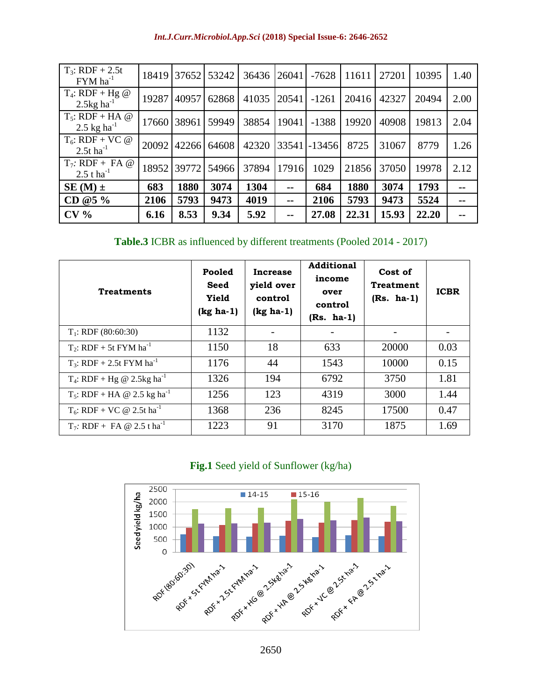| Int.J.Curr.Microbiol.App.Sci (2018) Special Issue-6: 2646-2652 |  |  |
|----------------------------------------------------------------|--|--|
|                                                                |  |  |

| $T_3$ : RDF + 2.5t<br>$FYM$ ha <sup>-1</sup>    | 18419 | 37652 | 53242 | 36436 | 26041 | $-7628$  | 11611 | 27201 | 10395 | 1.40 |
|-------------------------------------------------|-------|-------|-------|-------|-------|----------|-------|-------|-------|------|
| $T_4$ : RDF + Hg @<br>$2.5$ kg ha <sup>-1</sup> | 19287 | 40957 | 62868 | 41035 | 20541 | $-1261$  | 20416 | 42327 | 20494 | 2.00 |
| $T_5$ : RDF + HA @<br>2.5 kg ha <sup>-1</sup>   | 17660 | 38961 | 59949 | 38854 | 19041 | $-1388$  | 19920 | 40908 | 19813 | 2.04 |
| $T_6$ : RDF + VC @<br>2.5t $ha^{-1}$            | 20092 | 42266 | 64608 | 42320 | 33541 | $-13456$ | 8725  | 31067 | 8779  | 1.26 |
| $T_7$ : RDF + FA @<br>2.5 t ha <sup>-1</sup>    | 18952 | 39772 | 54966 | 37894 | 17916 | 1029     | 21856 | 37050 | 19978 | 2.12 |
| $SE(M)$ ±                                       | 683   | 1880  | 3074  | 1304  | --    | 684      | 1880  | 3074  | 1793  |      |
| CD $@5\%$                                       | 2106  | 5793  | 9473  | 4019  | --    | 2106     | 5793  | 9473  | 5524  |      |
| CV <sub>0</sub>                                 | 6.16  | 8.53  | 9.34  | 5.92  | $- -$ | 27.08    | 22.31 | 15.93 | 22.20 |      |

**Table.3** ICBR as influenced by different treatments (Pooled 2014 - 2017)

| <b>Treatments</b>                          | Pooled<br><b>Seed</b><br>Yield<br>$(kg ha-1)$ | Increase<br>yield over<br>control<br>$(kg ha-1)$ | <b>Additional</b><br>income<br>over<br>control<br>$(Rs. ha-1)$ | Cost of<br><b>Treatment</b><br>$(Rs. ha-1)$ | <b>ICBR</b> |
|--------------------------------------------|-----------------------------------------------|--------------------------------------------------|----------------------------------------------------------------|---------------------------------------------|-------------|
| $T_1$ : RDF (80:60:30)                     | 1132                                          |                                                  |                                                                |                                             |             |
| $T_2$ : RDF + 5t FYM ha <sup>-1</sup>      | 1150                                          | 18                                               | 633                                                            | 20000                                       | 0.03        |
| $T_3$ : RDF + 2.5t FYM ha <sup>-1</sup>    | 1176                                          | 44                                               | 1543                                                           | 10000                                       | 0.15        |
| $T_4$ : RDF + Hg @ 2.5kg ha <sup>-1</sup>  | 1326                                          | 194                                              | 6792                                                           | 3750                                        | 1.81        |
| $T_5$ : RDF + HA @ 2.5 kg ha <sup>-1</sup> | 1256                                          | 123                                              | 4319                                                           | 3000                                        | 1.44        |
| $T_6$ : RDF + VC @ 2.5t ha <sup>-1</sup>   | 1368                                          | 236                                              | 8245                                                           | 17500                                       | 0.47        |
| $T_7$ : RDF + FA @ 2.5 t ha <sup>-1</sup>  | 1223                                          | 91                                               | 3170                                                           | 1875                                        | 1.69        |

**Fig.1** Seed yield of Sunflower (kg/ha)

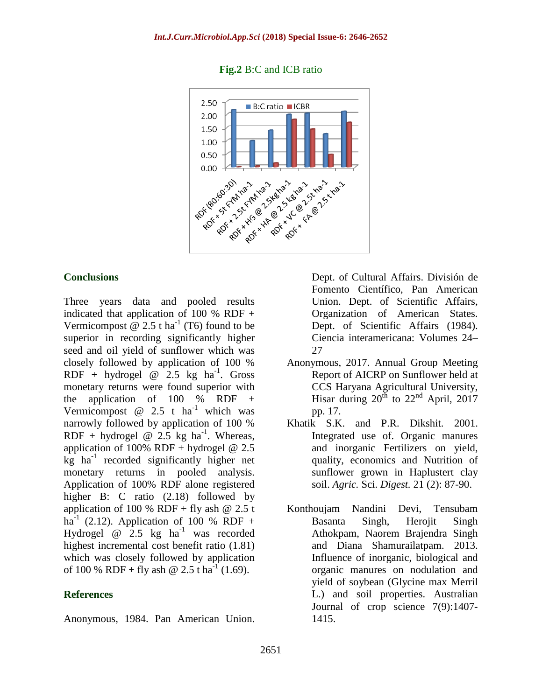

#### **Fig.2** B:C and ICB ratio

#### **Conclusions**

Three years data and pooled results indicated that application of 100 % RDF + Vermicompost  $\omega$  2.5 t ha<sup>-1</sup> (T6) found to be superior in recording significantly higher seed and oil yield of sunflower which was closely followed by application of 100 % RDF + hydrogel  $\omega$  2.5 kg ha<sup>-1</sup>. Gross monetary returns were found superior with the application of  $100\%$  RDF + Vermicompost  $@ 2.5 t h a^{-1}$  which was narrowly followed by application of 100 % RDF + hydrogel  $\omega$  2.5 kg ha<sup>-1</sup>. Whereas, application of 100% RDF + hydrogel  $@ 2.5$  $kg$  ha<sup>-1</sup> recorded significantly higher net monetary returns in pooled analysis. Application of 100% RDF alone registered higher B: C ratio (2.18) followed by application of 100 % RDF + fly ash  $@ 2.5 t$  $ha^{-1}$  (2.12). Application of 100 % RDF + Hydrogel  $\omega$  2.5 kg ha<sup>-1</sup> was recorded highest incremental cost benefit ratio (1.81) which was closely followed by application of 100 % RDF + fly ash @ 2.5 t ha<sup>-1</sup> (1.69).

#### **References**

Anonymous, 1984. Pan American Union.

Dept. of Cultural Affairs. División de Fomento Científico, Pan American Union. Dept. of Scientific Affairs, Organization of American States. Dept. of Scientific Affairs (1984). Ciencia interamericana: Volumes 24– 27

- Anonymous, 2017. Annual Group Meeting Report of AICRP on Sunflower held at CCS Haryana Agricultural University, Hisar during  $20^{th}$  to  $22^{nd}$  April, 2017 pp. 17.
- Khatik S.K. and P.R. Dikshit. 2001. Integrated use of. Organic manures and inorganic Fertilizers on yield, quality, economics and Nutrition of sunflower grown in Haplustert clay soil. *Agric.* Sci. *Digest.* 21 (2): 87-90.
- Konthoujam Nandini Devi, Tensubam Basanta Singh, Herojit Singh Athokpam, Naorem Brajendra Singh and Diana Shamurailatpam. 2013. Influence of inorganic, biological and organic manures on nodulation and yield of soybean (Glycine max Merril L.) and soil properties. Australian Journal of crop science 7(9):1407- 1415.